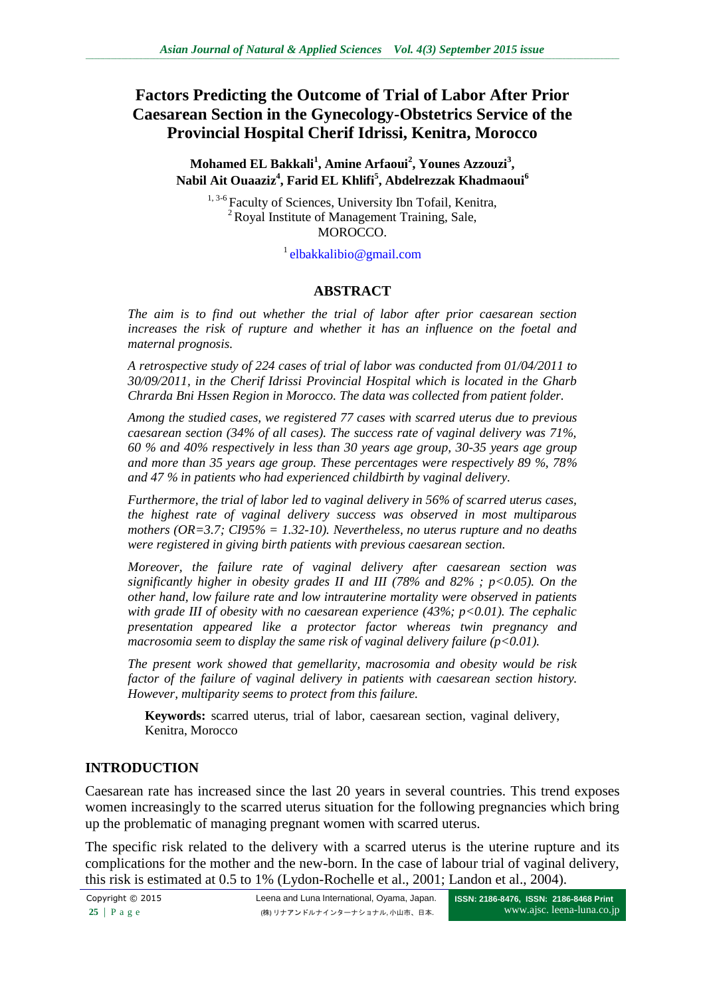# **Factors Predicting the Outcome of Trial of Labor After Prior Caesarean Section in the Gynecology-Obstetrics Service of the Provincial Hospital Cherif Idrissi, Kenitra, Morocco**

#### **Mohamed EL Bakkali<sup>1</sup> , Amine Arfaoui<sup>2</sup> , Younes Azzouzi<sup>3</sup> , Nabil Ait Ouaaziz<sup>4</sup> , Farid EL Khlifi<sup>5</sup> , Abdelrezzak Khadmaoui<sup>6</sup>**

<sup>1, 3-6</sup> Faculty of Sciences, University Ibn Tofail, Kenitra,  $2^2$  Royal Institute of Management Training, Sale, MOROCCO.

<sup>1</sup>[elbakkalibio@gmail.com](mailto:elbakkalibio@gmail.com)

### **ABSTRACT**

*The aim is to find out whether the trial of labor after prior caesarean section increases the risk of rupture and whether it has an influence on the foetal and maternal prognosis.*

*A retrospective study of 224 cases of trial of labor was conducted from 01/04/2011 to 30/09/2011, in the Cherif Idrissi Provincial Hospital which is located in the Gharb Chrarda Bni Hssen Region in Morocco. The data was collected from patient folder.*

*Among the studied cases, we registered 77 cases with scarred uterus due to previous caesarean section (34% of all cases). The success rate of vaginal delivery was 71%, 60 % and 40% respectively in less than 30 years age group, 30-35 years age group and more than 35 years age group. These percentages were respectively 89 %, 78% and 47 % in patients who had experienced childbirth by vaginal delivery.*

*Furthermore, the trial of labor led to vaginal delivery in 56% of scarred uterus cases, the highest rate of vaginal delivery success was observed in most multiparous mothers (OR=3.7; CI95% = 1.32-10). Nevertheless, no uterus rupture and no deaths were registered in giving birth patients with previous caesarean section.*

*Moreover, the failure rate of vaginal delivery after caesarean section was significantly higher in obesity grades II and III (78% and 82% ; p<0.05). On the other hand, low failure rate and low intrauterine mortality were observed in patients with grade III of obesity with no caesarean experience (43%; p<0.01). The cephalic presentation appeared like a protector factor whereas twin pregnancy and macrosomia seem to display the same risk of vaginal delivery failure (p<0.01).*

*The present work showed that gemellarity, macrosomia and obesity would be risk factor of the failure of vaginal delivery in patients with caesarean section history. However, multiparity seems to protect from this failure.*

**Keywords:** scarred uterus, trial of labor, caesarean section, vaginal delivery, Kenitra, Morocco

### **INTRODUCTION**

Caesarean rate has increased since the last 20 years in several countries. This trend exposes women increasingly to the scarred uterus situation for the following pregnancies which bring up the problematic of managing pregnant women with scarred uterus.

The specific risk related to the delivery with a scarred uterus is the uterine rupture and its complications for the mother and the new-born. In the case of labour trial of vaginal delivery, this risk is estimated at 0.5 to 1% (Lydon-Rochelle et al., 2001; Landon et al., 2004).

**ISSN: 2186-8476, ISSN: 2186-8468 Print** www.ajsc. leena-luna.co.jp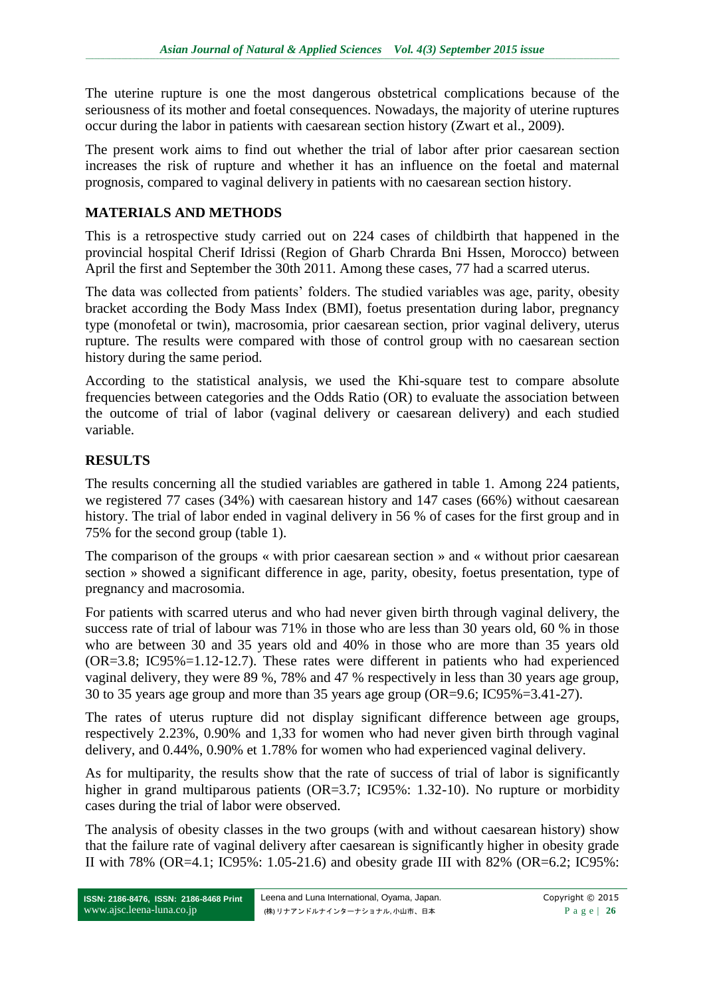The uterine rupture is one the most dangerous obstetrical complications because of the seriousness of its mother and foetal consequences. Nowadays, the majority of uterine ruptures occur during the labor in patients with caesarean section history (Zwart et al., 2009).

The present work aims to find out whether the trial of labor after prior caesarean section increases the risk of rupture and whether it has an influence on the foetal and maternal prognosis, compared to vaginal delivery in patients with no caesarean section history.

# **MATERIALS AND METHODS**

This is a retrospective study carried out on 224 cases of childbirth that happened in the provincial hospital Cherif Idrissi (Region of Gharb Chrarda Bni Hssen, Morocco) between April the first and September the 30th 2011. Among these cases, 77 had a scarred uterus.

The data was collected from patients' folders. The studied variables was age, parity, obesity bracket according the Body Mass Index (BMI), foetus presentation during labor, pregnancy type (monofetal or twin), macrosomia, prior caesarean section, prior vaginal delivery, uterus rupture. The results were compared with those of control group with no caesarean section history during the same period.

According to the statistical analysis, we used the Khi-square test to compare absolute frequencies between categories and the Odds Ratio (OR) to evaluate the association between the outcome of trial of labor (vaginal delivery or caesarean delivery) and each studied variable.

# **RESULTS**

The results concerning all the studied variables are gathered in table 1. Among 224 patients, we registered 77 cases (34%) with caesarean history and 147 cases (66%) without caesarean history. The trial of labor ended in vaginal delivery in 56 % of cases for the first group and in 75% for the second group (table 1).

The comparison of the groups « with prior caesarean section » and « without prior caesarean section » showed a significant difference in age, parity, obesity, foetus presentation, type of pregnancy and macrosomia.

For patients with scarred uterus and who had never given birth through vaginal delivery, the success rate of trial of labour was 71% in those who are less than 30 years old, 60 % in those who are between 30 and 35 years old and 40% in those who are more than 35 years old (OR=3.8; IC95%=1.12-12.7). These rates were different in patients who had experienced vaginal delivery, they were 89 %, 78% and 47 % respectively in less than 30 years age group, 30 to 35 years age group and more than 35 years age group (OR=9.6; IC95%=3.41-27).

The rates of uterus rupture did not display significant difference between age groups, respectively 2.23%, 0.90% and 1,33 for women who had never given birth through vaginal delivery, and 0.44%, 0.90% et 1.78% for women who had experienced vaginal delivery.

As for multiparity, the results show that the rate of success of trial of labor is significantly higher in grand multiparous patients (OR=3.7; IC95%: 1.32-10). No rupture or morbidity cases during the trial of labor were observed.

The analysis of obesity classes in the two groups (with and without caesarean history) show that the failure rate of vaginal delivery after caesarean is significantly higher in obesity grade II with 78% (OR=4.1; IC95%: 1.05-21.6) and obesity grade III with 82% (OR=6.2; IC95%: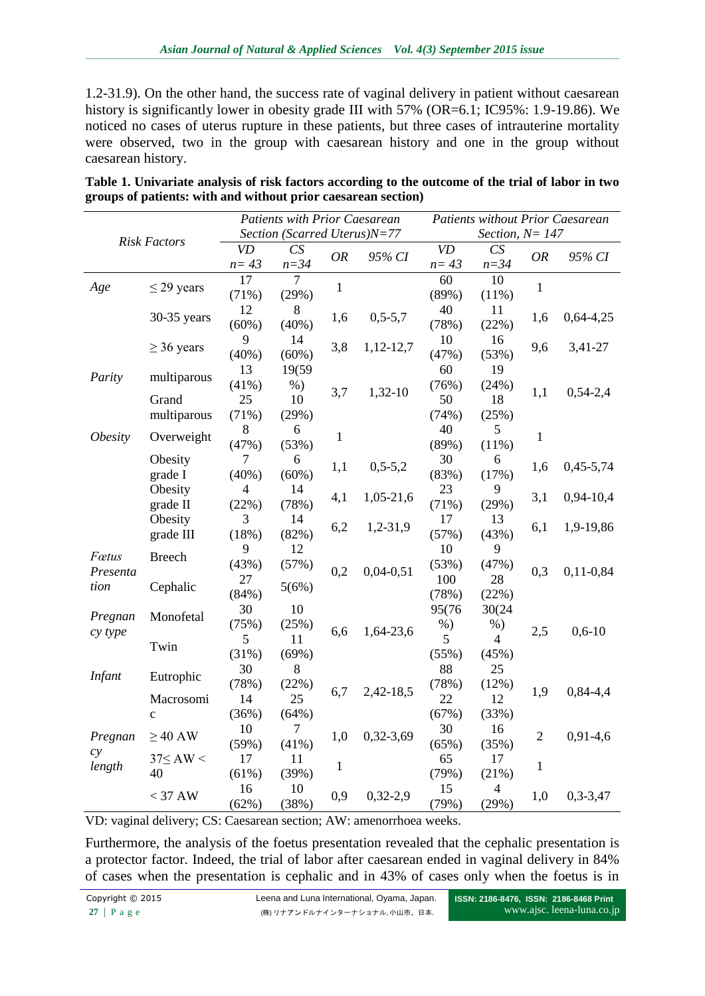1.2-31.9). On the other hand, the success rate of vaginal delivery in patient without caesarean history is significantly lower in obesity grade III with 57% (OR=6.1; IC95%: 1.9-19.86). We noticed no cases of uterus rupture in these patients, but three cases of intrauterine mortality were observed, two in the group with caesarean history and one in the group without caesarean history.

| <b>Risk Factors</b>   |                      | <b>Patients with Prior Caesarean</b> |                |              |             | <b>Patients without Prior Caesarean</b> |                |                |                |
|-----------------------|----------------------|--------------------------------------|----------------|--------------|-------------|-----------------------------------------|----------------|----------------|----------------|
|                       |                      | Section (Scarred Uterus)N=77         |                |              |             | Section, $N = 147$                      |                |                |                |
|                       |                      | <b>VD</b>                            | CS             | <b>OR</b>    | 95% CI      | <b>VD</b>                               | CS             | <b>OR</b>      | 95% CI         |
|                       |                      | $n = 43$                             | $n = 34$       |              |             | $n=43$                                  | $n = 34$       |                |                |
| Age                   | $\leq$ 29 years      | 17                                   | $\overline{7}$ | $\mathbf{1}$ |             | 60                                      | 10             | $\mathbf{1}$   |                |
|                       |                      | (71%)                                | (29%)          |              |             | (89%)                                   | (11%)          |                |                |
|                       | 30-35 years          | 12                                   | 8              | 1,6          | $0,5-5,7$   | 40                                      | 11             | 1,6            |                |
|                       |                      | (60%)                                | (40%)          |              |             | (78%)                                   | (22%)          |                | $0,64-4,25$    |
|                       |                      | 9                                    | 14             | 3,8          | $1,12-12,7$ | 10                                      | 16             | 9,6            |                |
|                       | $\geq$ 36 years      | (40%)                                | (60%)          |              |             | (47%)                                   | (53%)          |                | 3,41-27        |
|                       |                      | 13                                   | 19(59          | 3,7          | 1,32-10     | 60                                      | 19             | 1,1            |                |
| Parity                | multiparous          | (41%)                                | $%$ )          |              |             | (76%)                                   | (24%)          |                |                |
|                       | Grand<br>multiparous | 25                                   | 10             |              |             | 50                                      | 18             |                | $0,54-2,4$     |
|                       |                      | (71%)                                | (29%)          |              |             | (74%)                                   | (25%)          |                |                |
| <i><b>Obesity</b></i> | Overweight           | 8                                    | 6              | $\mathbf{1}$ |             | 40                                      | 5              | $\mathbf{1}$   |                |
|                       |                      | (47%)                                | (53%)          |              |             | (89%)                                   | (11%)          |                |                |
|                       | Obesity<br>grade I   | 7                                    | 6              | 1,1          | $0,5-5,2$   | 30                                      | 6              | 1,6            | $0,45-5,74$    |
|                       |                      | (40%)                                | (60%)          |              |             | (83%)                                   | (17%)          |                |                |
|                       | Obesity              | 4                                    | 14             | 4,1          | 1,05-21,6   | 23                                      | 9              | 3,1            | 0,94-10,4      |
|                       | grade II             | (22%)                                | (78%)          |              |             | (71%)                                   | (29%)          |                |                |
|                       | Obesity<br>grade III | 3                                    | 14             | 6,2          | $1,2-31,9$  | 17                                      | 13             | 6,1            | 1,9-19,86      |
|                       |                      | (18%)                                | (82%)          |              |             | (57%)                                   | (43%)          |                |                |
| Fœtus                 | <b>Breech</b>        | 9                                    | 12             | 0,2          | $0,04-0,51$ | 10                                      | 9              |                |                |
| Presenta              |                      | (43%)                                | (57%)          |              |             | (53%)                                   | (47%)          | 0,3            | $0,11-0,84$    |
| tion                  | Cephalic             | 27                                   | 5(6%)          |              |             | 100                                     | 28             |                |                |
|                       |                      | (84%)                                |                |              |             | (78%)                                   | (22%)          |                |                |
| Pregnan               | Monofetal            | 30                                   | 10             | 6,6          | 1,64-23,6   | 95(76                                   | 30(24          |                |                |
|                       |                      | (75%)                                | (25%)          |              |             | $%$ )                                   | $%$ )          | 2,5            | $0,6-10$       |
| cy type               | Twin                 | 5                                    | 11             |              |             | 5                                       | $\overline{4}$ |                |                |
|                       |                      | (31%)                                | (69%)          |              |             | (55%)                                   | (45%)          |                |                |
| <b>Infant</b>         | Eutrophic            | 30                                   | 8              | 6,7          | 2,42-18,5   | 88                                      | 25             | 1,9            |                |
|                       |                      | (78%)                                | (22%)          |              |             | (78%)                                   | (12%)          |                | $0,84-4,4$     |
|                       | Macrosomi            | 14                                   | 25             |              |             | 22                                      | 12             |                |                |
|                       | $\mathbf{c}$         | (36%)                                | (64%)          |              |             | (67%)                                   | (33%)          |                |                |
| Pregnan               | $\geq$ 40 AW         | 10                                   | $\overline{7}$ | 1,0          | $0,32-3,69$ | 30                                      | 16             | $\overline{2}$ | $0,91-4,6$     |
|                       |                      | (59%)                                | (41%)          |              |             | (65%)                                   | (35%)          |                |                |
| cy<br>length          | $37 \leq AW <$<br>40 | 17                                   | 11             | $\mathbf{1}$ |             | 65                                      | 17             | $\mathbf{1}$   |                |
|                       |                      | (61%)                                | (39%)          |              |             | (79%)                                   | (21%)          |                |                |
|                       | $<$ 37 AW            | 16                                   | 10             | 0,9          | $0,32-2,9$  | 15                                      | $\overline{4}$ | 1,0            | $0, 3 - 3, 47$ |
|                       |                      | (62%)                                | (38%)          |              |             | (79%)                                   | (29%)          |                |                |

| Table 1. Univariate analysis of risk factors according to the outcome of the trial of labor in two |
|----------------------------------------------------------------------------------------------------|
| groups of patients: with and without prior caesarean section)                                      |

VD: vaginal delivery; CS: Caesarean section; AW: amenorrhoea weeks.

Furthermore, the analysis of the foetus presentation revealed that the cephalic presentation is a protector factor. Indeed, the trial of labor after caesarean ended in vaginal delivery in 84% of cases when the presentation is cephalic and in 43% of cases only when the foetus is in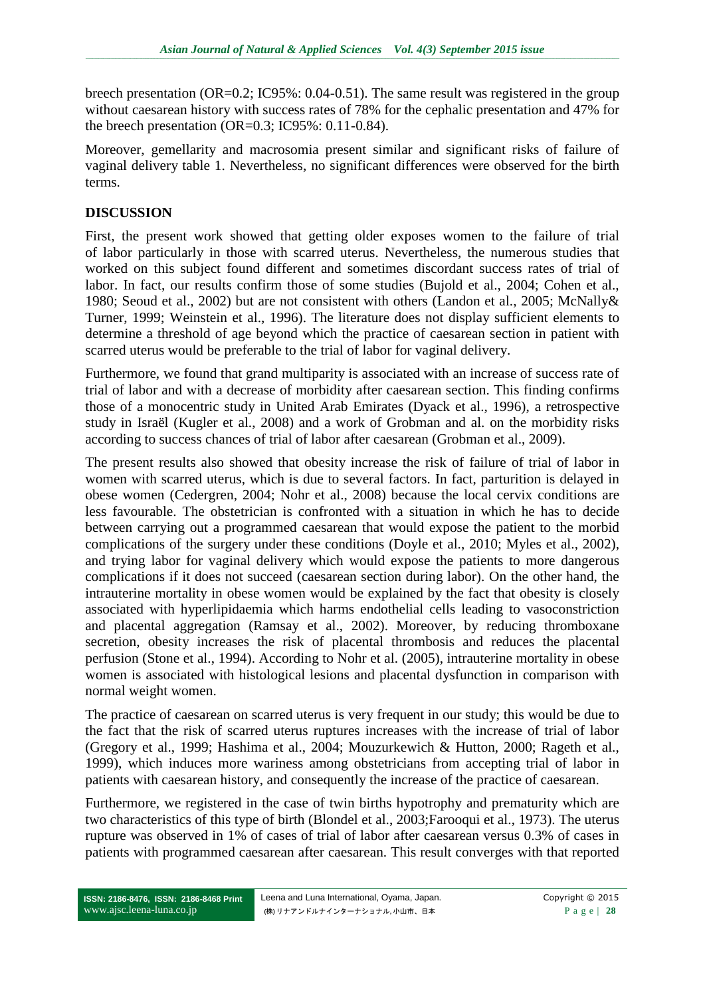breech presentation (OR=0.2; IC95%: 0.04-0.51). The same result was registered in the group without caesarean history with success rates of 78% for the cephalic presentation and 47% for the breech presentation  $(OR=0.3; IC95\%; 0.11-0.84)$ .

Moreover, gemellarity and macrosomia present similar and significant risks of failure of vaginal delivery table 1. Nevertheless, no significant differences were observed for the birth terms.

### **DISCUSSION**

First, the present work showed that getting older exposes women to the failure of trial of labor particularly in those with scarred uterus. Nevertheless, the numerous studies that worked on this subject found different and sometimes discordant success rates of trial of labor. In fact, our results confirm those of some studies (Bujold et al., 2004; Cohen et al., 1980; Seoud et al., 2002) but are not consistent with others (Landon et al., 2005; McNally& Turner, 1999; Weinstein et al., 1996). The literature does not display sufficient elements to determine a threshold of age beyond which the practice of caesarean section in patient with scarred uterus would be preferable to the trial of labor for vaginal delivery.

Furthermore, we found that grand multiparity is associated with an increase of success rate of trial of labor and with a decrease of morbidity after caesarean section. This finding confirms those of a monocentric study in United Arab Emirates (Dyack et al., 1996), a retrospective study in Israël (Kugler et al., 2008) and a work of Grobman and al. on the morbidity risks according to success chances of trial of labor after caesarean (Grobman et al., 2009).

The present results also showed that obesity increase the risk of failure of trial of labor in women with scarred uterus, which is due to several factors. In fact, parturition is delayed in obese women (Cedergren, 2004; Nohr et al., 2008) because the local cervix conditions are less favourable. The obstetrician is confronted with a situation in which he has to decide between carrying out a programmed caesarean that would expose the patient to the morbid complications of the surgery under these conditions (Doyle et al., 2010; Myles et al., 2002), and trying labor for vaginal delivery which would expose the patients to more dangerous complications if it does not succeed (caesarean section during labor). On the other hand, the intrauterine mortality in obese women would be explained by the fact that obesity is closely associated with hyperlipidaemia which harms endothelial cells leading to vasoconstriction and placental aggregation (Ramsay et al., 2002). Moreover, by reducing thromboxane secretion, obesity increases the risk of placental thrombosis and reduces the placental perfusion (Stone et al., 1994). According to Nohr et al. (2005), intrauterine mortality in obese women is associated with histological lesions and placental dysfunction in comparison with normal weight women.

The practice of caesarean on scarred uterus is very frequent in our study; this would be due to the fact that the risk of scarred uterus ruptures increases with the increase of trial of labor (Gregory et al., 1999; Hashima et al., 2004; Mouzurkewich & Hutton, 2000; Rageth et al., 1999), which induces more wariness among obstetricians from accepting trial of labor in patients with caesarean history, and consequently the increase of the practice of caesarean.

Furthermore, we registered in the case of twin births hypotrophy and prematurity which are two characteristics of this type of birth (Blondel et al., 2003;Farooqui et al., 1973). The uterus rupture was observed in 1% of cases of trial of labor after caesarean versus 0.3% of cases in patients with programmed caesarean after caesarean. This result converges with that reported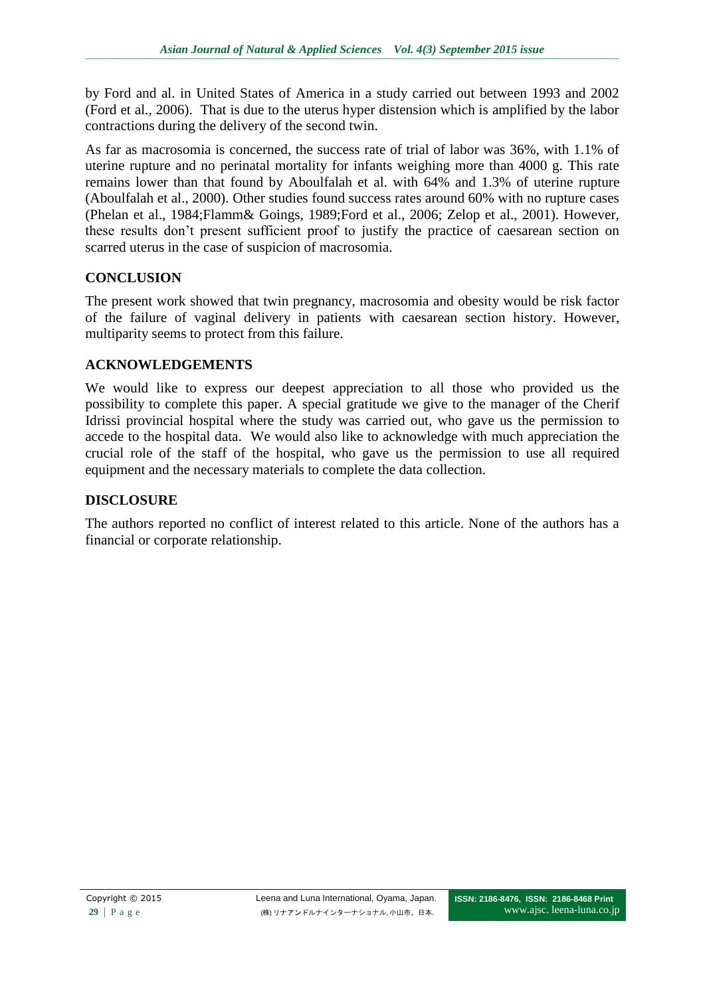by Ford and al. in United States of America in a study carried out between 1993 and 2002 (Ford et al., 2006). That is due to the uterus hyper distension which is amplified by the labor contractions during the delivery of the second twin.

As far as macrosomia is concerned, the success rate of trial of labor was 36%, with 1.1% of uterine rupture and no perinatal mortality for infants weighing more than 4000 g. This rate remains lower than that found by Aboulfalah et al. with 64% and 1.3% of uterine rupture (Aboulfalah et al., 2000). Other studies found success rates around 60% with no rupture cases (Phelan et al., 1984;Flamm& Goings, 1989;Ford et al., 2006; Zelop et al., 2001). However, these results don't present sufficient proof to justify the practice of caesarean section on scarred uterus in the case of suspicion of macrosomia.

### **CONCLUSION**

The present work showed that twin pregnancy, macrosomia and obesity would be risk factor of the failure of vaginal delivery in patients with caesarean section history. However, multiparity seems to protect from this failure.

# **ACKNOWLEDGEMENTS**

We would like to express our deepest appreciation to all those who provided us the possibility to complete this paper. A special gratitude we give to the manager of the Cherif Idrissi provincial hospital where the study was carried out, who gave us the permission to accede to the hospital data. We would also like to acknowledge with much appreciation the crucial role of the staff of the hospital, who gave us the permission to use all required equipment and the necessary materials to complete the data collection.

### **DISCLOSURE**

The authors reported no conflict of interest related to this article. None of the authors has a financial or corporate relationship.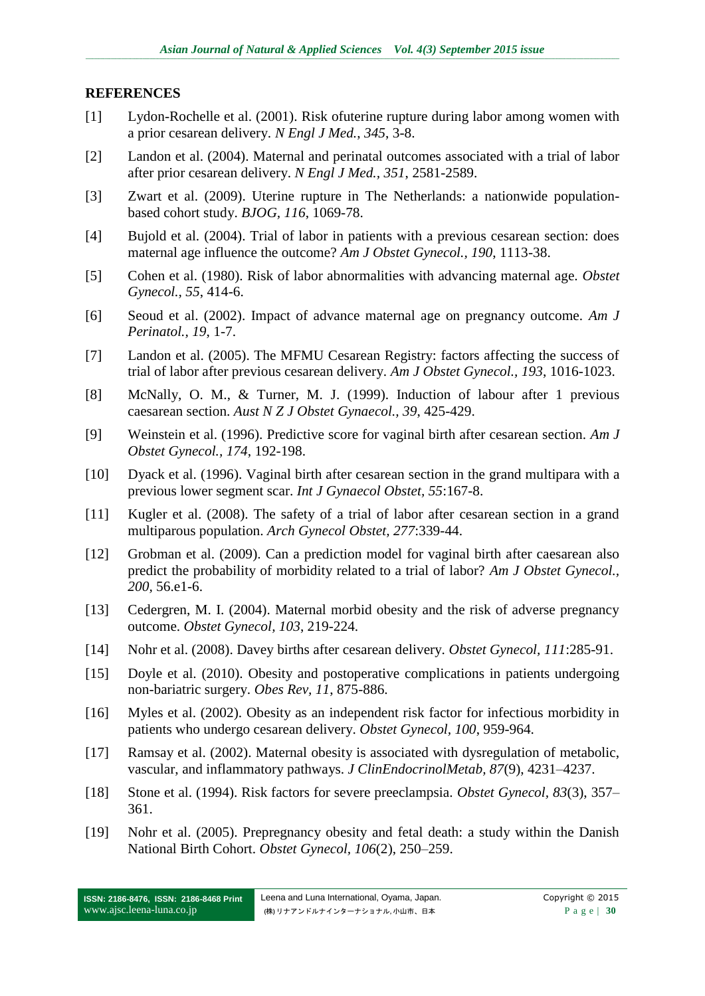### **REFERENCES**

- [1] Lydon-Rochelle et al. (2001). Risk ofuterine rupture during labor among women with a prior cesarean delivery. *N Engl J Med.*, *345*, 3-8.
- [2] Landon et al. (2004). Maternal and perinatal outcomes associated with a trial of labor after prior cesarean delivery. *N Engl J Med., 351*, 2581-2589.
- [3] Zwart et al. (2009). Uterine rupture in The Netherlands: a nationwide populationbased cohort study. *BJOG, 116*, 1069-78.
- [4] Bujold et al. (2004). Trial of labor in patients with a previous cesarean section: does maternal age influence the outcome? *Am J Obstet Gynecol., 190*, 1113-38.
- [5] Cohen et al. (1980). Risk of labor abnormalities with advancing maternal age. *Obstet Gynecol., 55*, 414-6.
- [6] Seoud et al. (2002). Impact of advance maternal age on pregnancy outcome*. Am J Perinatol., 19*, 1-7.
- [7] Landon et al. (2005). The MFMU Cesarean Registry: factors affecting the success of trial of labor after previous cesarean delivery. *Am J Obstet Gynecol., 193*, 1016-1023.
- [8] McNally, O. M., & Turner, M. J. (1999). Induction of labour after 1 previous caesarean section. *Aust N Z J Obstet Gynaecol., 39*, 425-429.
- [9] Weinstein et al. (1996). Predictive score for vaginal birth after cesarean section. *Am J Obstet Gynecol., 174*, 192-198.
- [10] Dyack et al. (1996). Vaginal birth after cesarean section in the grand multipara with a previous lower segment scar. *Int J Gynaecol Obstet, 55*:167-8.
- [11] Kugler et al. (2008). The safety of a trial of labor after cesarean section in a grand multiparous population. *Arch Gynecol Obstet, 277*:339-44.
- [12] Grobman et al. (2009). Can a prediction model for vaginal birth after caesarean also predict the probability of morbidity related to a trial of labor? *Am J Obstet Gynecol., 200,* 56.e1-6.
- [13] Cedergren, M. I. (2004). Maternal morbid obesity and the risk of adverse pregnancy outcome. *Obstet Gynecol, 103*, 219-224.
- [14] Nohr et al. (2008). Davey births after cesarean delivery. *Obstet Gynecol, 111*:285-91.
- [15] Doyle et al. (2010). Obesity and postoperative complications in patients undergoing non-bariatric surgery. *Obes Rev, 11*, 875-886.
- [16] Myles et al. (2002). Obesity as an independent risk factor for infectious morbidity in patients who undergo cesarean delivery. *Obstet Gynecol, 100*, 959-964.
- [17] Ramsay et al. (2002). Maternal obesity is associated with dysregulation of metabolic, vascular, and inflammatory pathways. *J ClinEndocrinolMetab, 87*(9), 4231–4237.
- [18] Stone et al. (1994). Risk factors for severe preeclampsia. *Obstet Gynecol, 83*(3), 357– 361.
- [19] Nohr et al. (2005). Prepregnancy obesity and fetal death: a study within the Danish National Birth Cohort. *Obstet Gynecol, 106*(2), 250–259.